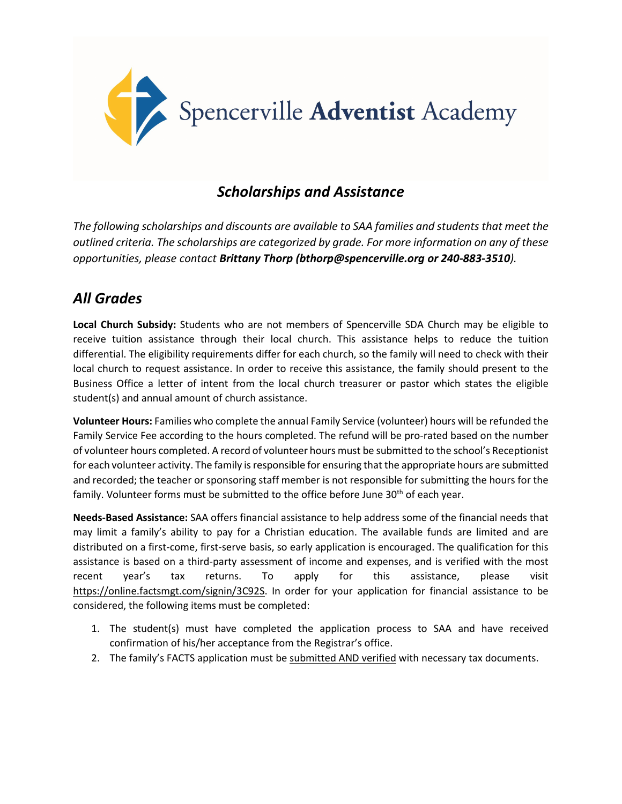

## *Scholarships and Assistance*

*The following scholarships and discounts are available to SAA families and students that meet the outlined criteria. The scholarships are categorized by grade. For more information on any of these opportunities, please contact Brittany Thorp (bthorp@spencerville.org or 240-883-3510).*

## *All Grades*

**Local Church Subsidy:** Students who are not members of Spencerville SDA Church may be eligible to receive tuition assistance through their local church. This assistance helps to reduce the tuition differential. The eligibility requirements differ for each church, so the family will need to check with their local church to request assistance. In order to receive this assistance, the family should present to the Business Office a letter of intent from the local church treasurer or pastor which states the eligible student(s) and annual amount of church assistance.

**Volunteer Hours:** Families who complete the annual Family Service (volunteer) hours will be refunded the Family Service Fee according to the hours completed. The refund will be pro-rated based on the number of volunteer hours completed. A record of volunteer hours must be submitted to the school's Receptionist for each volunteer activity. The family is responsible for ensuring that the appropriate hours are submitted and recorded; the teacher or sponsoring staff member is not responsible for submitting the hours for the family. Volunteer forms must be submitted to the office before June  $30<sup>th</sup>$  of each year.

**Needs-Based Assistance:** SAA offers financial assistance to help address some of the financial needs that may limit a family's ability to pay for a Christian education. The available funds are limited and are distributed on a first-come, first-serve basis, so early application is encouraged. The qualification for this assistance is based on a third-party assessment of income and expenses, and is verified with the most recent year's tax returns. To apply for this assistance, please visit https://online.factsmgt.com/signin/3C92S. In order for your application for financial assistance to be considered, the following items must be completed:

- 1. The student(s) must have completed the application process to SAA and have received confirmation of his/her acceptance from the Registrar's office.
- 2. The family's FACTS application must be submitted AND verified with necessary tax documents.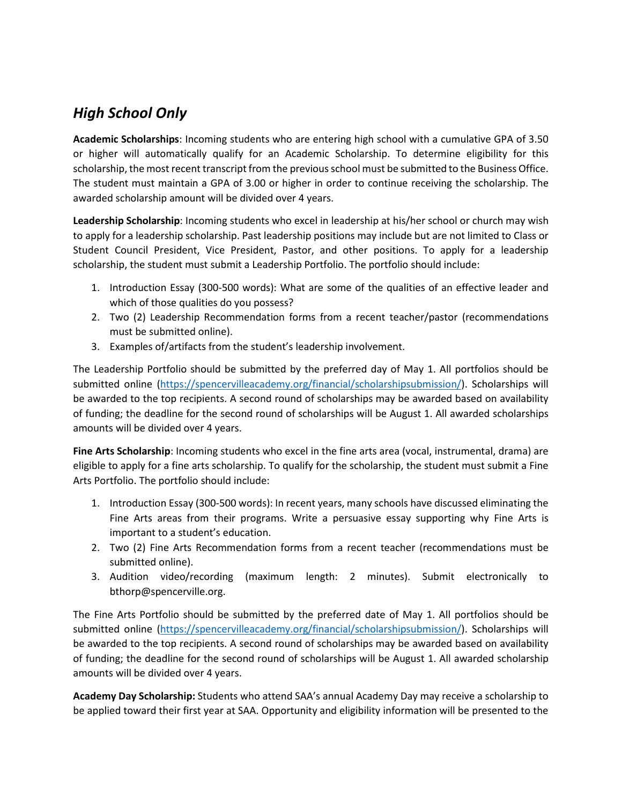## *High School Only*

**Academic Scholarships**: Incoming students who are entering high school with a cumulative GPA of 3.50 or higher will automatically qualify for an Academic Scholarship. To determine eligibility for this scholarship, the most recent transcript from the previous school must be submitted to the Business Office. The student must maintain a GPA of 3.00 or higher in order to continue receiving the scholarship. The awarded scholarship amount will be divided over 4 years.

**Leadership Scholarship**: Incoming students who excel in leadership at his/her school or church may wish to apply for a leadership scholarship. Past leadership positions may include but are not limited to Class or Student Council President, Vice President, Pastor, and other positions. To apply for a leadership scholarship, the student must submit a Leadership Portfolio. The portfolio should include:

- 1. Introduction Essay (300-500 words): What are some of the qualities of an effective leader and which of those qualities do you possess?
- 2. Two (2) Leadership Recommendation forms from a recent teacher/pastor (recommendations must be submitted online).
- 3. Examples of/artifacts from the student's leadership involvement.

The Leadership Portfolio should be submitted by the preferred day of May 1. All portfolios should be submitted online [\(https://spencervilleacademy.org/financial/scholarshipsubmission/\)](https://spencervilleacademy.org/financial/scholarshipsubmission/). Scholarships will be awarded to the top recipients. A second round of scholarships may be awarded based on availability of funding; the deadline for the second round of scholarships will be August 1. All awarded scholarships amounts will be divided over 4 years.

**Fine Arts Scholarship**: Incoming students who excel in the fine arts area (vocal, instrumental, drama) are eligible to apply for a fine arts scholarship. To qualify for the scholarship, the student must submit a Fine Arts Portfolio. The portfolio should include:

- 1. Introduction Essay (300-500 words): In recent years, many schools have discussed eliminating the Fine Arts areas from their programs. Write a persuasive essay supporting why Fine Arts is important to a student's education.
- 2. Two (2) Fine Arts Recommendation forms from a recent teacher (recommendations must be submitted online).
- 3. Audition video/recording (maximum length: 2 minutes). Submit electronically to bthorp@spencerville.org.

The Fine Arts Portfolio should be submitted by the preferred date of May 1. All portfolios should be submitted online [\(https://spencervilleacademy.org/financial/scholarshipsubmission/\)](https://spencervilleacademy.org/financial/scholarshipsubmission/). Scholarships will be awarded to the top recipients. A second round of scholarships may be awarded based on availability of funding; the deadline for the second round of scholarships will be August 1. All awarded scholarship amounts will be divided over 4 years.

**Academy Day Scholarship:** Students who attend SAA's annual Academy Day may receive a scholarship to be applied toward their first year at SAA. Opportunity and eligibility information will be presented to the